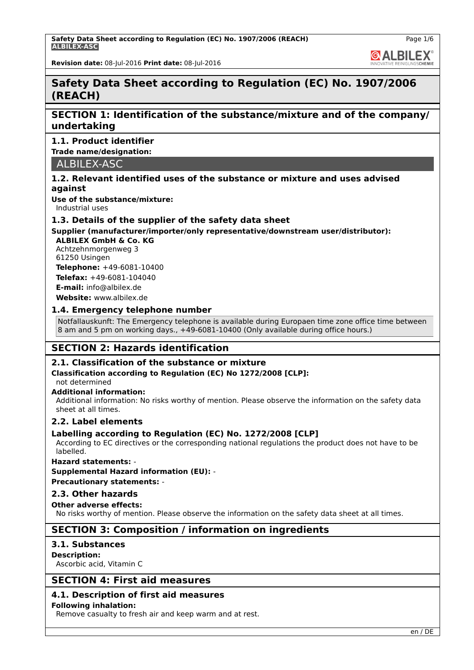**GALBILEX** 

**Revision date:** 08-Jul-2016 **Print date:** 08-Jul-2016

# **Safety Data Sheet according to Regulation (EC) No. 1907/2006 (REACH)**

# **SECTION 1: Identification of the substance/mixture and of the company/ undertaking**

# **1.1. Product identifier**

**Trade name/designation:**

ALBILEX-ASC

# **1.2. Relevant identified uses of the substance or mixture and uses advised against**

**Use of the substance/mixture:**

Industrial uses

# **1.3. Details of the supplier of the safety data sheet**

# **Supplier (manufacturer/importer/only representative/downstream user/distributor):**

**ALBILEX GmbH & Co. KG** Achtzehnmorgenweg 3 61250 Usingen

**Telephone:** +49-6081-10400 **Telefax:** +49-6081-104040 **E-mail:** info@albilex.de

**Website:** www.albilex.de

# **1.4. Emergency telephone number**

Notfallauskunft: The Emergency telephone is available during Europaen time zone office time between 8 am and 5 pm on working days., +49-6081-10400 (Only available during office hours.)

# **SECTION 2: Hazards identification**

# **2.1. Classification of the substance or mixture**

# **Classification according to Regulation (EC) No 1272/2008 [CLP]:**

not determined

# **Additional information:**

Additional information: No risks worthy of mention. Please observe the information on the safety data sheet at all times.

# **2.2. Label elements**

# **Labelling according to Regulation (EC) No. 1272/2008 [CLP]**

According to EC directives or the corresponding national regulations the product does not have to be labelled.

#### **Hazard statements:** -

**Supplemental Hazard information (EU):** -

**Precautionary statements:** -

# **2.3. Other hazards**

# **Other adverse effects:**

No risks worthy of mention. Please observe the information on the safety data sheet at all times.

# **SECTION 3: Composition / information on ingredients**

# **3.1. Substances**

**Description:** Ascorbic acid, Vitamin C

# **SECTION 4: First aid measures**

# **4.1. Description of first aid measures**

# **Following inhalation:**

Remove casualty to fresh air and keep warm and at rest.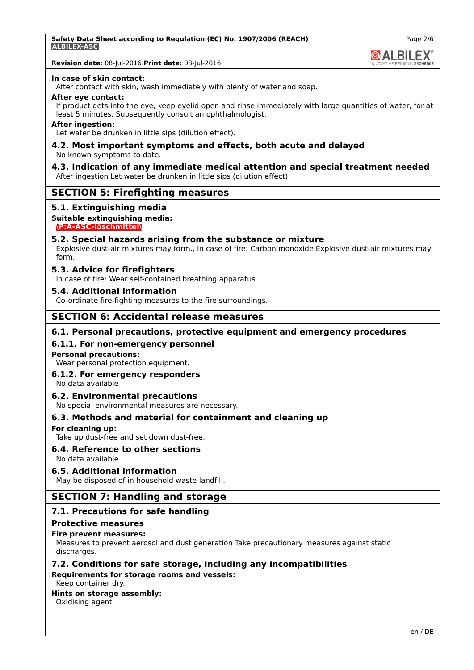**GALBILEX** 

# **Revision date:** 08-Jul-2016 **Print date:** 08-Jul-2016

#### **In case of skin contact:**

After contact with skin, wash immediately with plenty of water and soap.

#### **After eye contact:**

If product gets into the eye, keep eyelid open and rinse immediately with large quantities of water, for at least 5 minutes. Subsequently consult an ophthalmologist.

#### **After ingestion:**

Let water be drunken in little sips (dilution effect).

#### **4.2. Most important symptoms and effects, both acute and delayed** No known symptoms to date.

#### **4.3. Indication of any immediate medical attention and special treatment needed** After ingestion Let water be drunken in little sips (dilution effect).

# **SECTION 5: Firefighting measures**

## **5.1. Extinguishing media**

# **Suitable extinguishing media:**

**\P:A-ASC-löschmittel\**

## **5.2. Special hazards arising from the substance or mixture**

Explosive dust-air mixtures may form., In case of fire: Carbon monoxide Explosive dust-air mixtures may form.

## **5.3. Advice for firefighters**

In case of fire: Wear self-contained breathing apparatus.

#### **5.4. Additional information**

Co-ordinate fire-fighting measures to the fire surroundings.

# **SECTION 6: Accidental release measures**

## **6.1. Personal precautions, protective equipment and emergency procedures**

## **6.1.1. For non-emergency personnel**

#### **Personal precautions:**

Wear personal protection equipment.

#### **6.1.2. For emergency responders**

No data available

# **6.2. Environmental precautions**

No special environmental measures are necessary.

# **6.3. Methods and material for containment and cleaning up**

#### **For cleaning up:**

Take up dust-free and set down dust-free.

# **6.4. Reference to other sections**

# No data available

# **6.5. Additional information**

May be disposed of in household waste landfill.

# **SECTION 7: Handling and storage**

# **7.1. Precautions for safe handling**

#### **Protective measures**

#### **Fire prevent measures:**

Measures to prevent aerosol and dust generation Take precautionary measures against static discharges.

# **7.2. Conditions for safe storage, including any incompatibilities**

**Requirements for storage rooms and vessels:**

## Keep container dry.

# **Hints on storage assembly:**

Oxidising agent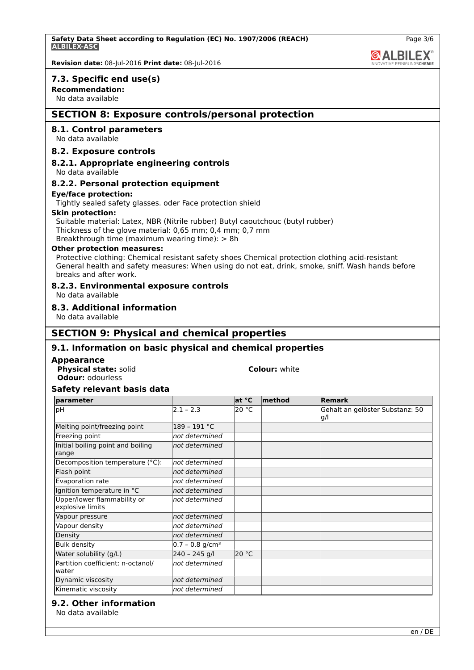**Safety Data Sheet according to Regulation (EC) No. 1907/2006 (REACH) ALBILEX-ASC**



**@ALBILEX** 

**Revision date:** 08-Jul-2016 **Print date:** 08-Jul-2016

#### **7.3. Specific end use(s)**

## **Recommendation:**

No data available

# **SECTION 8: Exposure controls/personal protection**

# **8.1. Control parameters**

No data available

#### **8.2. Exposure controls**

#### **8.2.1. Appropriate engineering controls**

No data available

#### **8.2.2. Personal protection equipment**

#### **Eye/face protection:**

Tightly sealed safety glasses. oder Face protection shield

#### **Skin protection:**

Suitable material: Latex, NBR (Nitrile rubber) Butyl caoutchouc (butyl rubber) Thickness of the glove material: 0,65 mm; 0,4 mm; 0,7 mm Breakthrough time (maximum wearing time): > 8h

#### **Other protection measures:**

Protective clothing: Chemical resistant safety shoes Chemical protection clothing acid-resistant General health and safety measures: When using do not eat, drink, smoke, sniff. Wash hands before breaks and after work.

#### **8.2.3. Environmental exposure controls**

No data available

# **8.3. Additional information**

No data available

# **SECTION 9: Physical and chemical properties**

# **9.1. Information on basic physical and chemical properties**

#### **Appearance**

**Physical state:** solid **Colour:** white **Odour:** odourless

# **Safety relevant basis data**

| parameter                                       |                               | at °C | method | <b>Remark</b>                           |
|-------------------------------------------------|-------------------------------|-------|--------|-----------------------------------------|
| pH                                              | $2.1 - 2.3$                   | 20 °C |        | Gehalt an gelöster Substanz: 50<br>lg/l |
| Melting point/freezing point                    | 189 - 191 °C                  |       |        |                                         |
| Freezing point                                  | not determined                |       |        |                                         |
| Initial boiling point and boiling<br>range      | not determined                |       |        |                                         |
| Decomposition temperature (°C):                 | not determined                |       |        |                                         |
| Flash point                                     | not determined                |       |        |                                         |
| Evaporation rate                                | not determined                |       |        |                                         |
| Ignition temperature in °C                      | not determined                |       |        |                                         |
| Upper/lower flammability or<br>explosive limits | not determined                |       |        |                                         |
| Vapour pressure                                 | not determined                |       |        |                                         |
| Vapour density                                  | not determined                |       |        |                                         |
| Density                                         | not determined                |       |        |                                         |
| <b>Bulk density</b>                             | $0.7 - 0.8$ g/cm <sup>3</sup> |       |        |                                         |
| Water solubility (g/L)                          | 240 - 245 g/l                 | 20 °C |        |                                         |
| Partition coefficient: n-octanol/<br>water      | not determined                |       |        |                                         |
| Dynamic viscosity                               | not determined                |       |        |                                         |
| Kinematic viscosity                             | not determined                |       |        |                                         |

## **9.2. Other information**

No data available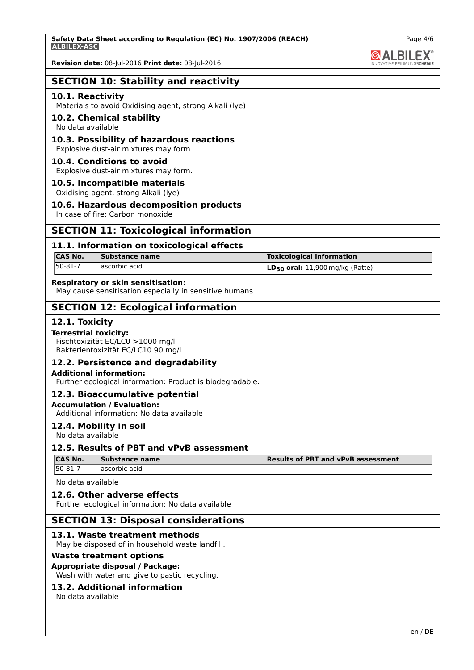**Revision date:** 08-Jul-2016 **Print date:** 08-Jul-2016

# **SECTION 10: Stability and reactivity**

#### **10.1. Reactivity**

Materials to avoid Oxidising agent, strong Alkali (lye)

## **10.2. Chemical stability**

No data available

# **10.3. Possibility of hazardous reactions**

Explosive dust-air mixtures may form.

## **10.4. Conditions to avoid**

Explosive dust-air mixtures may form.

#### **10.5. Incompatible materials**

Oxidising agent, strong Alkali (lye)

# **10.6. Hazardous decomposition products**

In case of fire: Carbon monoxide

# **SECTION 11: Toxicological information**

## **11.1. Information on toxicological effects**

| ICAS No.   | Substance name | <b>Toxicological information</b>     |
|------------|----------------|--------------------------------------|
| $150-81-7$ | lascorbic acid | $LD_{50}$ oral: 11,900 mg/kg (Ratte) |

## **Respiratory or skin sensitisation:**

May cause sensitisation especially in sensitive humans.

# **SECTION 12: Ecological information**

#### **12.1. Toxicity**

#### **Terrestrial toxicity:**

Fischtoxizität EC/LC0 >1000 mg/l Bakterientoxizität EC/LC10 90 mg/l

# **12.2. Persistence and degradability**

#### **Additional information:**

Further ecological information: Product is biodegradable.

#### **12.3. Bioaccumulative potential**

## **Accumulation / Evaluation:**

Additional information: No data available

#### **12.4. Mobility in soil**

No data available

# **12.5. Results of PBT and vPvB assessment**

| <b>CAS No.</b> | Substance name | <b>Results of PBT and vPvB assessment</b> |
|----------------|----------------|-------------------------------------------|
| $150 - 81 - 7$ | lascorbic acid | $\overline{\phantom{a}}$                  |

No data available

#### **12.6. Other adverse effects**

Further ecological information: No data available

# **SECTION 13: Disposal considerations**

#### **13.1. Waste treatment methods**

May be disposed of in household waste landfill.

#### **Waste treatment options**

#### **Appropriate disposal / Package:**

Wash with water and give to pastic recycling.

# **13.2. Additional information**

No data available

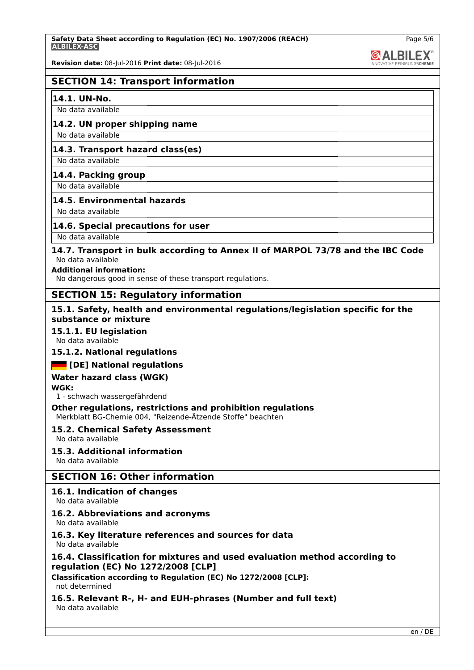**Safety Data Sheet according to Regulation (EC) No. 1907/2006 (REACH) ALBILEX-ASC**

**Revision date:** 08-Jul-2016 **Print date:** 08-Jul-2016

# **SECTION 14: Transport information**

#### **14.1. UN-No.**

No data available

# **14.2. UN proper shipping name**

No data available **14.3. Transport hazard class(es)**

No data available

## **14.4. Packing group**

No data available

#### **14.5. Environmental hazards**

No data available

## **14.6. Special precautions for user**

No data available

#### **14.7. Transport in bulk according to Annex II of MARPOL 73/78 and the IBC Code** No data available

#### **Additional information:**

No dangerous good in sense of these transport regulations.

# **SECTION 15: Regulatory information**

#### **15.1. Safety, health and environmental regulations/legislation specific for the substance or mixture**

#### **15.1.1. EU legislation**

No data available

#### **15.1.2. National regulations**

#### **[DE] National regulations**

# **Water hazard class (WGK)**

**WGK:**

1 - schwach wassergefährdend

**Other regulations, restrictions and prohibition regulations** Merkblatt BG-Chemie 004, "Reizende-Ätzende Stoffe" beachten

#### **15.2. Chemical Safety Assessment**

No data available

#### **15.3. Additional information**

No data available

# **SECTION 16: Other information**

# **16.1. Indication of changes**

No data available

# **16.2. Abbreviations and acronyms**

No data available

# **16.3. Key literature references and sources for data**

No data available

# **16.4. Classification for mixtures and used evaluation method according to regulation (EC) No 1272/2008 [CLP]**

**Classification according to Regulation (EC) No 1272/2008 [CLP]:** not determined

# **16.5. Relevant R-, H- and EUH-phrases (Number and full text)**

No data available